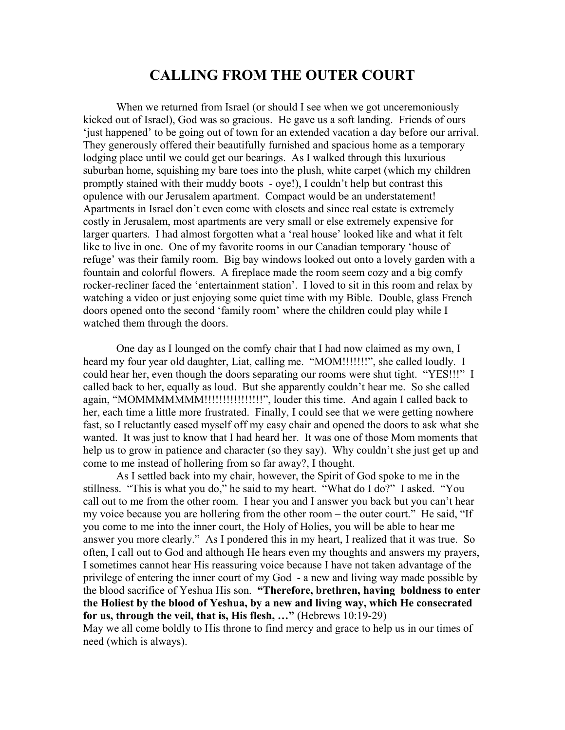## **CALLING FROM THE OUTER COURT**

When we returned from Israel (or should I see when we got unceremoniously kicked out of Israel), God was so gracious. He gave us a soft landing. Friends of ours 'just happened' to be going out of town for an extended vacation a day before our arrival. They generously offered their beautifully furnished and spacious home as a temporary lodging place until we could get our bearings. As I walked through this luxurious suburban home, squishing my bare toes into the plush, white carpet (which my children promptly stained with their muddy boots - oye!), I couldn't help but contrast this opulence with our Jerusalem apartment. Compact would be an understatement! Apartments in Israel don't even come with closets and since real estate is extremely costly in Jerusalem, most apartments are very small or else extremely expensive for larger quarters. I had almost forgotten what a 'real house' looked like and what it felt like to live in one. One of my favorite rooms in our Canadian temporary 'house of refuge' was their family room. Big bay windows looked out onto a lovely garden with a fountain and colorful flowers. A fireplace made the room seem cozy and a big comfy rocker-recliner faced the 'entertainment station'. I loved to sit in this room and relax by watching a video or just enjoying some quiet time with my Bible. Double, glass French doors opened onto the second 'family room' where the children could play while I watched them through the doors.

One day as I lounged on the comfy chair that I had now claimed as my own, I heard my four year old daughter, Liat, calling me. "MOM!!!!!!!", she called loudly. I could hear her, even though the doors separating our rooms were shut tight. "YES!!!" I called back to her, equally as loud. But she apparently couldn't hear me. So she called again, "MOMMMMMMM!!!!!!!!!!!!!!!!!!!!", louder this time. And again I called back to her, each time a little more frustrated. Finally, I could see that we were getting nowhere fast, so I reluctantly eased myself off my easy chair and opened the doors to ask what she wanted. It was just to know that I had heard her. It was one of those Mom moments that help us to grow in patience and character (so they say). Why couldn't she just get up and come to me instead of hollering from so far away?, I thought.

As I settled back into my chair, however, the Spirit of God spoke to me in the stillness. "This is what you do," he said to my heart. "What do I do?" I asked. "You call out to me from the other room. I hear you and I answer you back but you can't hear my voice because you are hollering from the other room – the outer court." He said, "If you come to me into the inner court, the Holy of Holies, you will be able to hear me answer you more clearly." As I pondered this in my heart, I realized that it was true. So often, I call out to God and although He hears even my thoughts and answers my prayers, I sometimes cannot hear His reassuring voice because I have not taken advantage of the privilege of entering the inner court of my God - a new and living way made possible by the blood sacrifice of Yeshua His son. **"Therefore, brethren, having boldness to enter the Holiest by the blood of Yeshua, by a new and living way, which He consecrated for us, through the veil, that is, His flesh, …"** (Hebrews 10:19-29)

May we all come boldly to His throne to find mercy and grace to help us in our times of need (which is always).